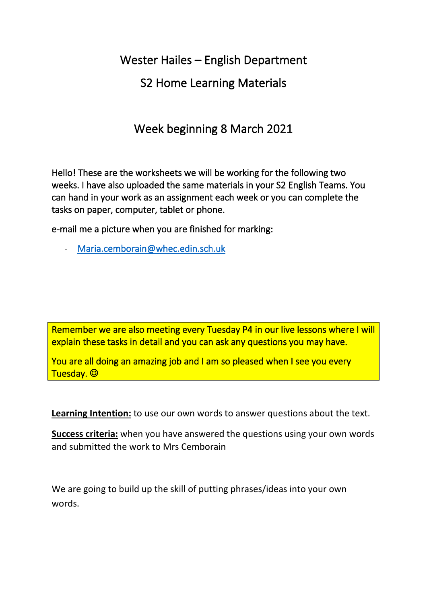Wester Hailes – English Department

# S2 Home Learning Materials

# Week beginning 8 March 2021

Hello! These are the worksheets we will be working for the following two weeks. I have also uploaded the same materials in your S2 English Teams. You can hand in your work as an assignment each week or you can complete the tasks on paper, computer, tablet or phone.

e-mail me a picture when you are finished for marking:

- [Maria.cemborain@whec.edin.sch.uk](mailto:Maria.cemborain@whec.edin.sch.uk) 

Remember we are also meeting every Tuesday P4 in our live lessons where I will explain these tasks in detail and you can ask any questions you may have.

You are all doing an amazing job and I am so pleased when I see you every Tuesday. ©

**Learning Intention:** to use our own words to answer questions about the text.

**Success criteria:** when you have answered the questions using your own words and submitted the work to Mrs Cemborain

We are going to build up the skill of putting phrases/ideas into your own words.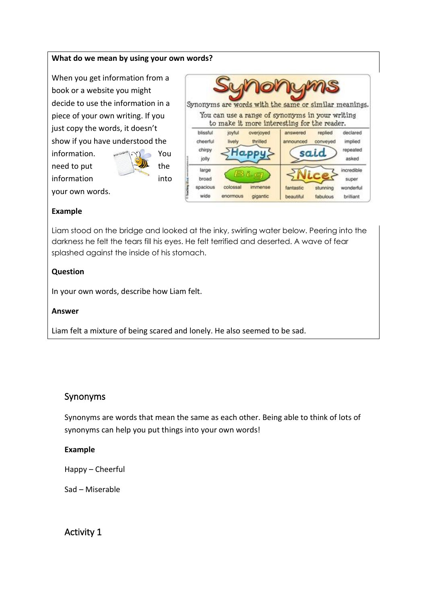### **What do we mean by using your own words?**

When you get information from a book or a website you might decide to use the information in a piece of your own writing. If you just copy the words, it doesn't show if you have understood the

information. www.org You need to put  $\leftarrow$  the information into

your own words.

|                                         |                      |                                  | <b>DOMUMAS</b>                                                                                                                                          |                             |                                               |
|-----------------------------------------|----------------------|----------------------------------|---------------------------------------------------------------------------------------------------------------------------------------------------------|-----------------------------|-----------------------------------------------|
|                                         |                      |                                  | Synonyms are words with the same or similar meanings.<br>You can use a range of synonyms in your writing<br>to make it more interesting for the reader. |                             |                                               |
| blissful<br>cheerful<br>chirpy<br>jolly | joyful<br>lively     | overjoyed<br>thrilled            | answered<br>announced                                                                                                                                   | replied<br>conveyed<br>said | declared<br>implied<br>repeated<br>asked      |
| large<br>broad<br>spacious<br>wide      | colossal<br>enormous | BLo<br><b>MOROSA</b><br>gigantic | fantastic<br>beautiful                                                                                                                                  | stunning<br>fabulous        | incredible<br>super<br>wonderful<br>brilliant |

#### **Example**

Liam stood on the bridge and looked at the inky, swirling water below. Peering into the darkness he felt the tears fill his eyes. He felt terrified and deserted. A wave of fear splashed against the inside of his stomach.

#### **Question**

In your own words, describe how Liam felt.

#### **Answer**

Liam felt a mixture of being scared and lonely. He also seemed to be sad.

### Synonyms

Synonyms are words that mean the same as each other. Being able to think of lots of synonyms can help you put things into your own words!

#### **Example**

Happy – Cheerful

Sad – Miserable

Activity 1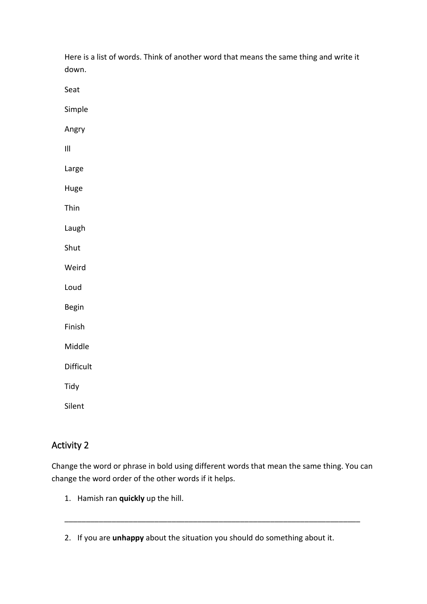| down.                              |  |
|------------------------------------|--|
| Seat                               |  |
| Simple                             |  |
| Angry                              |  |
| $\ensuremath{\mathsf{III}}\xspace$ |  |
| Large                              |  |
| Huge                               |  |
| Thin                               |  |
| Laugh                              |  |
| Shut                               |  |
| Weird                              |  |
| Loud                               |  |
| Begin                              |  |
| Finish                             |  |
| Middle                             |  |
| Difficult                          |  |
| Tidy                               |  |
| Silent                             |  |

Here is a list of words. Think of another word that means the same thing and write it

# Activity 2

Change the word or phrase in bold using different words that mean the same thing. You can change the word order of the other words if it helps.

\_\_\_\_\_\_\_\_\_\_\_\_\_\_\_\_\_\_\_\_\_\_\_\_\_\_\_\_\_\_\_\_\_\_\_\_\_\_\_\_\_\_\_\_\_\_\_\_\_\_\_\_\_\_\_\_\_\_\_\_\_\_\_\_\_\_\_\_\_

1. Hamish ran **quickly** up the hill.

<sup>2.</sup> If you are **unhappy** about the situation you should do something about it.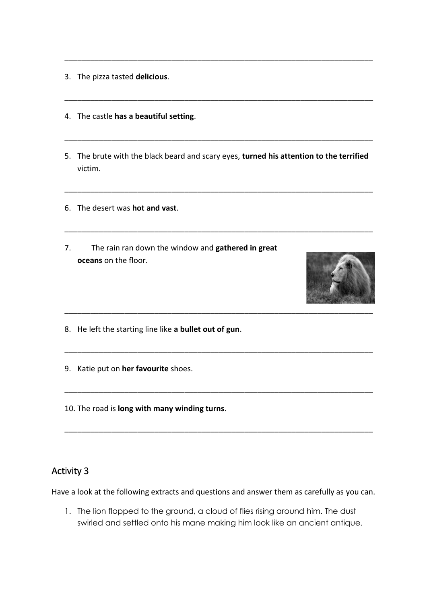- 3. The pizza tasted **delicious**.
- 4. The castle **has a beautiful setting**.
- 5. The brute with the black beard and scary eyes, **turned his attention to the terrified** victim.

\_\_\_\_\_\_\_\_\_\_\_\_\_\_\_\_\_\_\_\_\_\_\_\_\_\_\_\_\_\_\_\_\_\_\_\_\_\_\_\_\_\_\_\_\_\_\_\_\_\_\_\_\_\_\_\_\_\_\_\_\_\_\_\_\_\_\_\_\_\_\_\_

\_\_\_\_\_\_\_\_\_\_\_\_\_\_\_\_\_\_\_\_\_\_\_\_\_\_\_\_\_\_\_\_\_\_\_\_\_\_\_\_\_\_\_\_\_\_\_\_\_\_\_\_\_\_\_\_\_\_\_\_\_\_\_\_\_\_\_\_\_\_\_\_

\_\_\_\_\_\_\_\_\_\_\_\_\_\_\_\_\_\_\_\_\_\_\_\_\_\_\_\_\_\_\_\_\_\_\_\_\_\_\_\_\_\_\_\_\_\_\_\_\_\_\_\_\_\_\_\_\_\_\_\_\_\_\_\_\_\_\_\_\_\_\_\_

\_\_\_\_\_\_\_\_\_\_\_\_\_\_\_\_\_\_\_\_\_\_\_\_\_\_\_\_\_\_\_\_\_\_\_\_\_\_\_\_\_\_\_\_\_\_\_\_\_\_\_\_\_\_\_\_\_\_\_\_\_\_\_\_\_\_\_\_\_\_\_\_

\_\_\_\_\_\_\_\_\_\_\_\_\_\_\_\_\_\_\_\_\_\_\_\_\_\_\_\_\_\_\_\_\_\_\_\_\_\_\_\_\_\_\_\_\_\_\_\_\_\_\_\_\_\_\_\_\_\_\_\_\_\_\_\_\_\_\_\_\_\_\_\_

\_\_\_\_\_\_\_\_\_\_\_\_\_\_\_\_\_\_\_\_\_\_\_\_\_\_\_\_\_\_\_\_\_\_\_\_\_\_\_\_\_\_\_\_\_\_\_\_\_\_\_\_\_\_\_\_\_\_\_\_\_\_\_\_\_\_\_\_\_\_\_\_

\_\_\_\_\_\_\_\_\_\_\_\_\_\_\_\_\_\_\_\_\_\_\_\_\_\_\_\_\_\_\_\_\_\_\_\_\_\_\_\_\_\_\_\_\_\_\_\_\_\_\_\_\_\_\_\_\_\_\_\_\_\_\_\_\_\_\_\_\_\_\_\_

\_\_\_\_\_\_\_\_\_\_\_\_\_\_\_\_\_\_\_\_\_\_\_\_\_\_\_\_\_\_\_\_\_\_\_\_\_\_\_\_\_\_\_\_\_\_\_\_\_\_\_\_\_\_\_\_\_\_\_\_\_\_\_\_\_\_\_\_\_\_\_\_

- 6. The desert was **hot and vast**.
- 7. The rain ran down the window and **gathered in great oceans** on the floor.



- 8. He left the starting line like **a bullet out of gun**.
- 9. Katie put on **her favourite** shoes.
- 10. The road is **long with many winding turns**.

## Activity 3

Have a look at the following extracts and questions and answer them as carefully as you can.

1. The lion flopped to the ground, a cloud of flies rising around him. The dust swirled and settled onto his mane making him look like an ancient antique.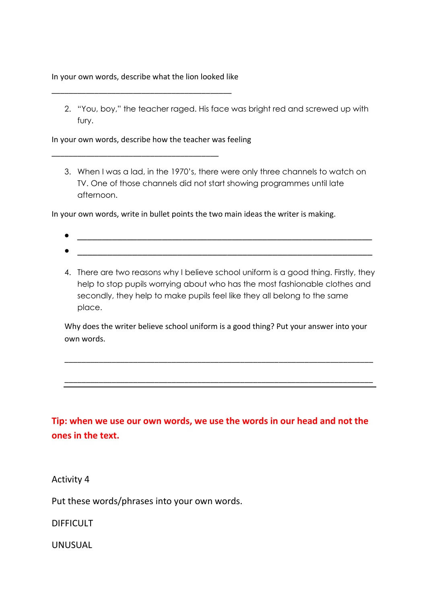In your own words, describe what the lion looked like

\_\_\_\_\_\_\_\_\_\_\_\_\_\_\_\_\_\_\_\_\_\_\_\_\_\_\_\_\_\_\_\_\_\_\_\_\_\_\_\_\_\_

\_\_\_\_\_\_\_\_\_\_\_\_\_\_\_\_\_\_\_\_\_\_\_\_\_\_\_\_\_\_\_\_\_\_\_\_\_\_\_

2. "You, boy," the teacher raged. His face was bright red and screwed up with fury.

In your own words, describe how the teacher was feeling

3. When I was a lad, in the 1970's, there were only three channels to watch on TV. One of those channels did not start showing programmes until late afternoon.

In your own words, write in bullet points the two main ideas the writer is making.

- 
- 
- 4. There are two reasons why I believe school uniform is a good thing. Firstly, they help to stop pupils worrying about who has the most fashionable clothes and secondly, they help to make pupils feel like they all belong to the same place.

Why does the writer believe school uniform is a good thing? Put your answer into your own words.

\_\_\_\_\_\_\_\_\_\_\_\_\_\_\_\_\_\_\_\_\_\_\_\_\_\_\_\_\_\_\_\_\_\_\_\_\_\_\_\_\_\_\_\_\_\_\_\_\_\_\_\_\_\_\_\_\_\_\_\_\_\_\_\_\_\_\_\_\_\_\_\_

\_\_\_\_\_\_\_\_\_\_\_\_\_\_\_\_\_\_\_\_\_\_\_\_\_\_\_\_\_\_\_\_\_\_\_\_\_\_\_\_\_\_\_\_\_\_\_\_\_\_\_\_\_\_\_\_\_\_\_\_\_\_\_\_\_\_\_\_\_\_\_\_

**Tip: when we use our own words, we use the words in our head and not the ones in the text.** 

Activity 4

Put these words/phrases into your own words.

DIFFICULT

UNUSUAL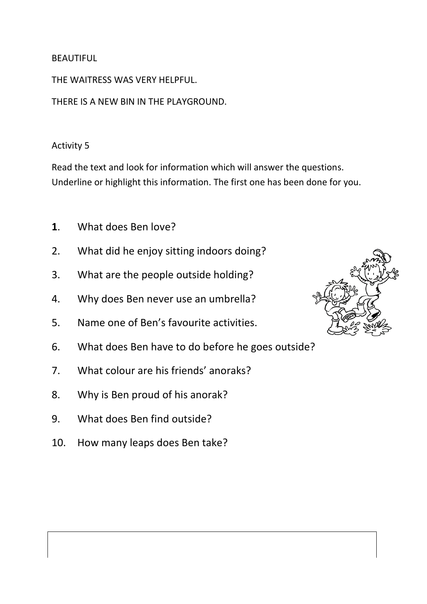## BEAUTIFUL

THE WAITRESS WAS VERY HELPFUL.

THERE IS A NEW BIN IN THE PLAYGROUND.

## Activity 5

Read the text and look for information which will answer the questions. Underline or highlight this information. The first one has been done for you.

- **1**. What does Ben love?
- 2. What did he enjoy sitting indoors doing?
- 3. What are the people outside holding?
- 4. Why does Ben never use an umbrella?
- 5. Name one of Ben's favourite activities.
- 6. What does Ben have to do before he goes outside?
- 7. What colour are his friends' anoraks?
- 8. Why is Ben proud of his anorak?
- 9. What does Ben find outside?
- 10. How many leaps does Ben take?

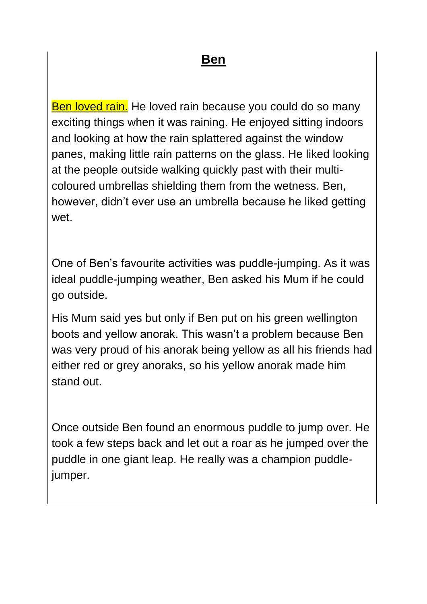Ben loved rain. He loved rain because you could do so many exciting things when it was raining. He enjoyed sitting indoors and looking at how the rain splattered against the window panes, making little rain patterns on the glass. He liked looking at the people outside walking quickly past with their multicoloured umbrellas shielding them from the wetness. Ben, however, didn't ever use an umbrella because he liked getting wet.

One of Ben's favourite activities was puddle-jumping. As it was ideal puddle-jumping weather, Ben asked his Mum if he could go outside.

His Mum said yes but only if Ben put on his green wellington boots and yellow anorak. This wasn't a problem because Ben was very proud of his anorak being yellow as all his friends had either red or grey anoraks, so his yellow anorak made him stand out.

Once outside Ben found an enormous puddle to jump over. He took a few steps back and let out a roar as he jumped over the puddle in one giant leap. He really was a champion puddlejumper.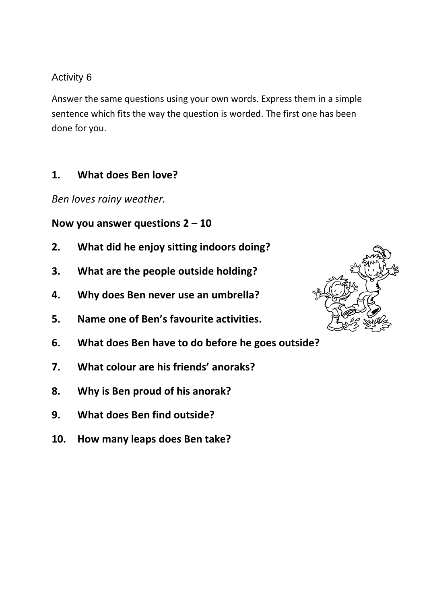## Activity 6

Answer the same questions using your own words. Express them in a simple sentence which fits the way the question is worded. The first one has been done for you.

# **1. What does Ben love?**

*Ben loves rainy weather.*

# **Now you answer questions 2 – 10**

- **2. What did he enjoy sitting indoors doing?**
- **3. What are the people outside holding?**
- **4. Why does Ben never use an umbrella?**
- **5. Name one of Ben's favourite activities.**
- **6. What does Ben have to do before he goes outside?**
- **7. What colour are his friends' anoraks?**
- **8. Why is Ben proud of his anorak?**
- **9. What does Ben find outside?**
- **10. How many leaps does Ben take?**

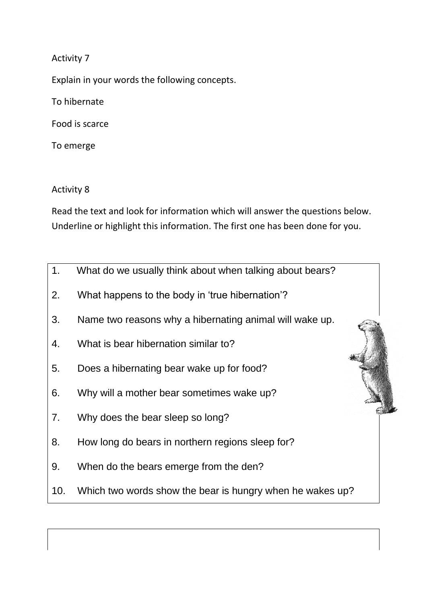Activity 7

Explain in your words the following concepts.

To hibernate

Food is scarce

To emerge

Activity 8

Read the text and look for information which will answer the questions below. Underline or highlight this information. The first one has been done for you.

- 1. What do we usually think about when talking about bears?
- 2. What happens to the body in 'true hibernation'?
- 3. Name two reasons why a hibernating animal will wake up.
- 4. What is bear hibernation similar to?
- 5. Does a hibernating bear wake up for food?
- 6. Why will a mother bear sometimes wake up?
- 7. Why does the bear sleep so long?
- 8. How long do bears in northern regions sleep for?
- 9. When do the bears emerge from the den?
- 10. Which two words show the bear is hungry when he wakes up?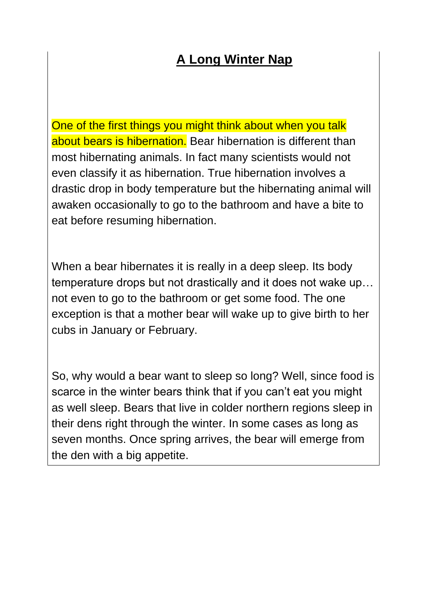# **A Long Winter Nap**

One of the first things you might think about when you talk about bears is hibernation. Bear hibernation is different than most hibernating animals. In fact many scientists would not even classify it as hibernation. True hibernation involves a drastic drop in body temperature but the hibernating animal will awaken occasionally to go to the bathroom and have a bite to eat before resuming hibernation.

When a bear hibernates it is really in a deep sleep. Its body temperature drops but not drastically and it does not wake up… not even to go to the bathroom or get some food. The one exception is that a mother bear will wake up to give birth to her cubs in January or February.

So, why would a bear want to sleep so long? Well, since food is scarce in the winter bears think that if you can't eat you might as well sleep. Bears that live in colder northern regions sleep in their dens right through the winter. In some cases as long as seven months. Once spring arrives, the bear will emerge from the den with a big appetite.